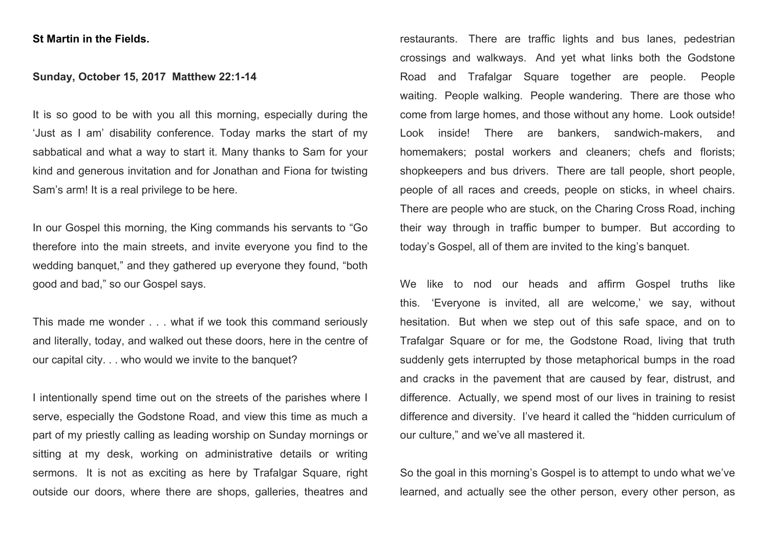## **St Martin in the Fields.**

## **Sunday, October 15, 2017 Matthew 22:1-14**

It is so good to be with you all this morning, especially during the 'Just as I am' disability conference. Today marks the start of my sabbatical and what a way to start it. Many thanks to Sam for your kind and generous invitation and for Jonathan and Fiona for twisting Sam's arm! It is a real privilege to be here.

In our Gospel this morning, the King commands his servants to "Go therefore into the main streets, and invite everyone you find to the wedding banquet," and they gathered up everyone they found, "both good and bad," so our Gospel says.

This made me wonder . . . what if we took this command seriously and literally, today, and walked out these doors, here in the centre of our capital city. . . who would we invite to the banquet?

I intentionally spend time out on the streets of the parishes where I serve, especially the Godstone Road, and view this time as much a part of my priestly calling as leading worship on Sunday mornings or sitting at my desk, working on administrative details or writing sermons. It is not as exciting as here by Trafalgar Square, right outside our doors, where there are shops, galleries, theatres and

restaurants. There are traffic lights and bus lanes, pedestrian crossings and walkways. And yet what links both the Godstone Road and Trafalgar Square together are people. People waiting. People walking. People wandering. There are those who come from large homes, and those without any home. Look outside! Look inside! There are bankers, sandwich-makers, and homemakers; postal workers and cleaners; chefs and florists; shopkeepers and bus drivers. There are tall people, short people, people of all races and creeds, people on sticks, in wheel chairs. There are people who are stuck, on the Charing Cross Road, inching their way through in traffic bumper to bumper. But according to today's Gospel, all of them are invited to the king's banquet.

We like to nod our heads and affirm Gospel truths like this. 'Everyone is invited, all are welcome,' we say, without hesitation. But when we step out of this safe space, and on to Trafalgar Square or for me, the Godstone Road, living that truth suddenly gets interrupted by those metaphorical bumps in the road and cracks in the pavement that are caused by fear, distrust, and difference. Actually, we spend most of our lives in training to resist difference and diversity. I've heard it called the "hidden curriculum of our culture," and we've all mastered it.

So the goal in this morning's Gospel is to attempt to undo what we've learned, and actually see the other person, every other person, as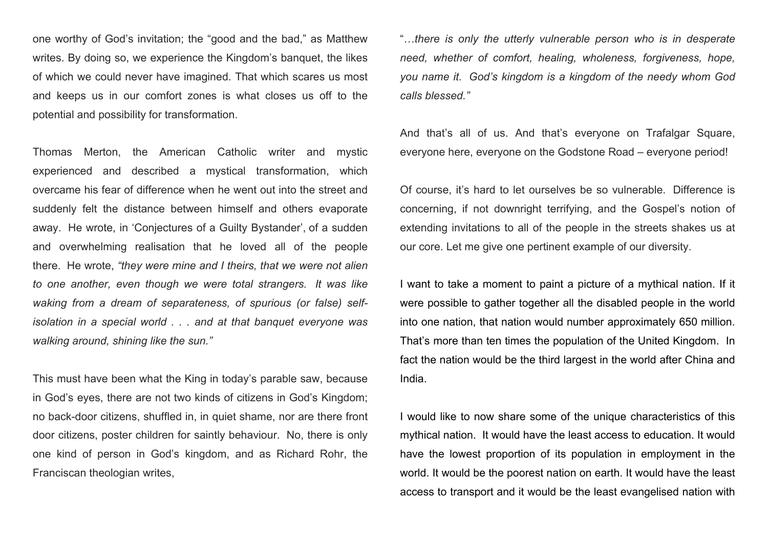one worthy of God's invitation; the "good and the bad," as Matthew writes. By doing so, we experience the Kingdom's banquet, the likes of which we could never have imagined. That which scares us most and keeps us in our comfort zones is what closes us off to the potential and possibility for transformation.

Thomas Merton, the American Catholic writer and mystic experienced and described a mystical transformation, which overcame his fear of difference when he went out into the street and suddenly felt the distance between himself and others evaporate away. He wrote, in 'Conjectures of a Guilty Bystander', of a sudden and overwhelming realisation that he loved all of the people there. He wrote, *"they were mine and I theirs, that we were not alien to one another, even though we were total strangers. It was like waking from a dream of separateness, of spurious (or false) selfisolation in a special world . . . and at that banquet everyone was walking around, shining like the sun."*

This must have been what the King in today's parable saw, because in God's eyes, there are not two kinds of citizens in God's Kingdom; no back-door citizens, shuffled in, in quiet shame, nor are there front door citizens, poster children for saintly behaviour. No, there is only one kind of person in God's kingdom, and as Richard Rohr, the Franciscan theologian writes,

"…*there is only the utterly vulnerable person who is in desperate need, whether of comfort, healing, wholeness, forgiveness, hope, you name it. God's kingdom is a kingdom of the needy whom God calls blessed."*

And that's all of us. And that's everyone on Trafalgar Square, everyone here, everyone on the Godstone Road – everyone period!

Of course, it's hard to let ourselves be so vulnerable. Difference is concerning, if not downright terrifying, and the Gospel's notion of extending invitations to all of the people in the streets shakes us at our core. Let me give one pertinent example of our diversity.

I want to take a moment to paint a picture of a mythical nation. If it were possible to gather together all the disabled people in the world into one nation, that nation would number approximately 650 million. That's more than ten times the population of the United Kingdom. In fact the nation would be the third largest in the world after China and India.

I would like to now share some of the unique characteristics of this mythical nation. It would have the least access to education. It would have the lowest proportion of its population in employment in the world. It would be the poorest nation on earth. It would have the least access to transport and it would be the least evangelised nation with